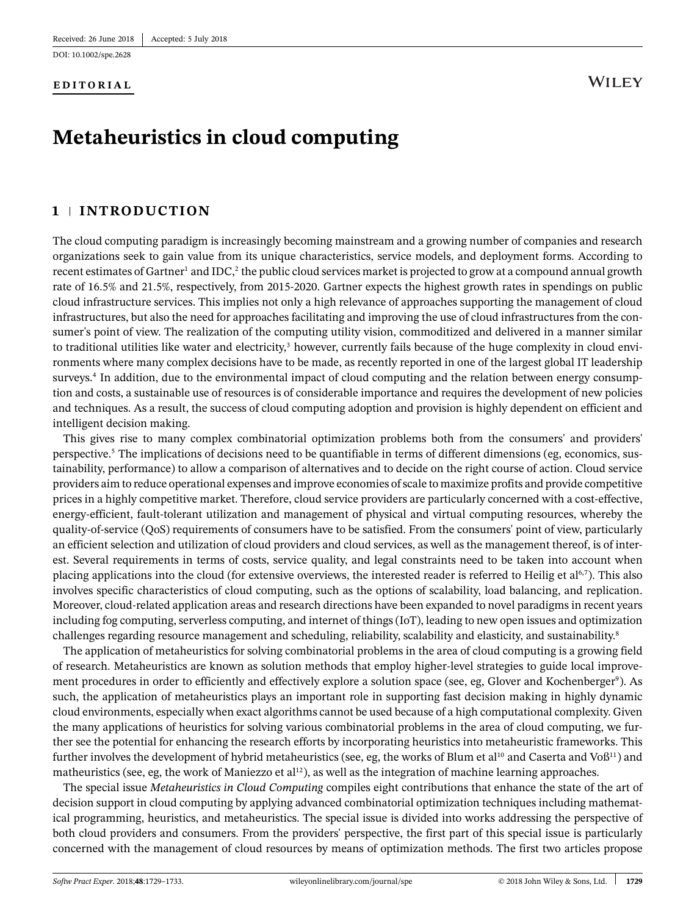DOI: [10.1002/spe.2628](https://doi.org/10.1002/spe.2628)

#### **EDITORIAL**

# **WILEY**

# **Metaheuristics in cloud computing**

## **1 INTRODUCTION**

The cloud computing paradigm is increasingly becoming mainstream and a growing number of companies and research organizations seek to gain value from its unique characteristics, service models, and deployment forms. According to recent estimates of Gartner<sup>1</sup> and IDC,<sup>2</sup> the public cloud services market is projected to grow at a compound annual growth rate of 16.5% and 21.5%, respectively, from 2015-2020. Gartner expects the highest growth rates in spendings on public cloud infrastructure services. This implies not only a high relevance of approaches supporting the management of cloud infrastructures, but also the need for approaches facilitating and improving the use of cloud infrastructures from the consumer's point of view. The realization of the computing utility vision, commoditized and delivered in a manner similar to traditional utilities like water and electricity, $3$  however, currently fails because of the huge complexity in cloud environments where many complex decisions have to be made, as recently reported in one of the largest global IT leadership surveys.<sup>4</sup> In addition, due to the environmental impact of cloud computing and the relation between energy consumption and costs, a sustainable use of resources is of considerable importance and requires the development of new policies and techniques. As a result, the success of cloud computing adoption and provision is highly dependent on efficient and intelligent decision making.

This gives rise to many complex combinatorial optimization problems both from the consumers' and providers' perspective[.5](#page-3-4) The implications of decisions need to be quantifiable in terms of different dimensions (eg, economics, sustainability, performance) to allow a comparison of alternatives and to decide on the right course of action. Cloud service providers aim to reduce operational expenses and improve economies of scale to maximize profits and provide competitive prices in a highly competitive market. Therefore, cloud service providers are particularly concerned with a cost-effective, energy-efficient, fault-tolerant utilization and management of physical and virtual computing resources, whereby the quality-of-service (QoS) requirements of consumers have to be satisfied. From the consumers' point of view, particularly an efficient selection and utilization of cloud providers and cloud services, as well as the management thereof, is of interest. Several requirements in terms of costs, service quality, and legal constraints need to be taken into account when placing applications into the cloud (for extensive overviews, the interested reader is referred to Heilig et al<sup>6[,7](#page-3-6)</sup>). This also involves specific characteristics of cloud computing, such as the options of scalability, load balancing, and replication. Moreover, cloud-related application areas and research directions have been expanded to novel paradigms in recent years including fog computing, serverless computing, and internet of things (IoT), leading to new open issues and optimization challenges regarding resource management and scheduling, reliability, scalability and elasticity, and sustainability.<sup>8</sup>

The application of metaheuristics for solving combinatorial problems in the area of cloud computing is a growing field of research. Metaheuristics are known as solution methods that employ higher-level strategies to guide local improvement procedures in order to efficiently and effectively explore a solution space (see, eg, Glover and Kochenberger°). As such, the application of metaheuristics plays an important role in supporting fast decision making in highly dynamic cloud environments, especially when exact algorithms cannot be used because of a high computational complexity. Given the many applications of heuristics for solving various combinatorial problems in the area of cloud computing, we further see the potential for enhancing the research efforts by incorporating heuristics into metaheuristic frameworks. This further involves the development of hybrid metaheuristics (see, eg, the works of Blum et al<sup>10</sup> and Caserta and Vo $6^{11}$ ) and matheuristics (see, eg, the work of Maniezzo et al<sup>12</sup>), as well as the integration of machine learning approaches.

The special issue *Metaheuristics in Cloud Computing* compiles eight contributions that enhance the state of the art of decision support in cloud computing by applying advanced combinatorial optimization techniques including mathematical programming, heuristics, and metaheuristics. The special issue is divided into works addressing the perspective of both cloud providers and consumers. From the providers' perspective, the first part of this special issue is particularly concerned with the management of cloud resources by means of optimization methods. The first two articles propose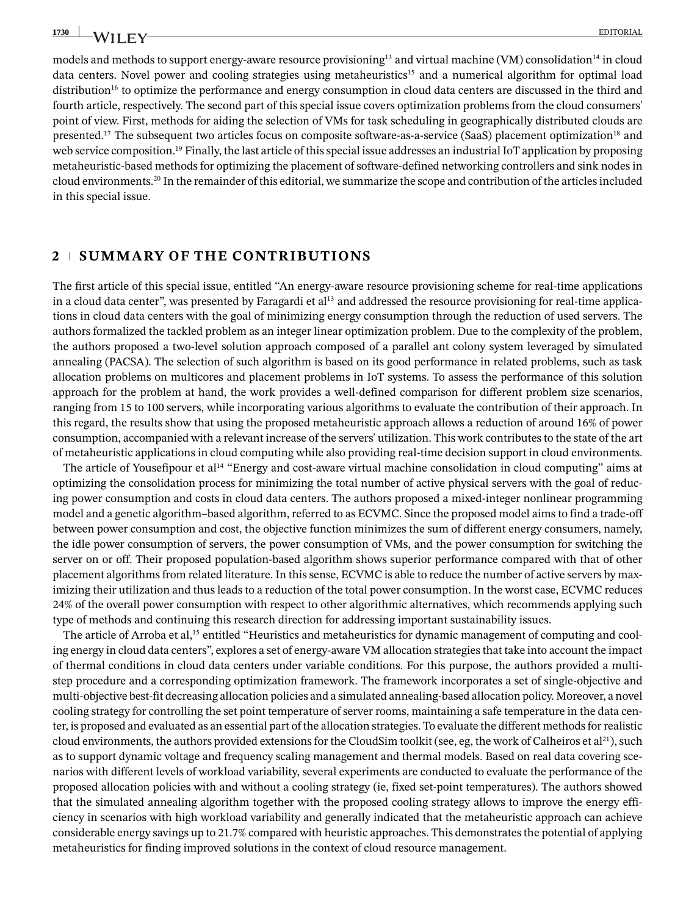models and methods to support energy-aware resource provisioning<sup>13</sup> and virtual machine (VM) consolidation<sup>14</sup> in cloud data centers. Novel power and cooling strategies using metaheuristics<sup>15</sup> and a numerical algorithm for optimal load distribution<sup>16</sup> to optimize the performance and energy consumption in cloud data centers are discussed in the third and fourth article, respectively. The second part of this special issue covers optimization problems from the cloud consumers' point of view. First, methods for aiding the selection of VMs for task scheduling in geographically distributed clouds are presented.<sup>17</sup> The subsequent two articles focus on composite software-as-a-service (SaaS) placement optimization<sup>18</sup> and web service composition.<sup>19</sup> Finally, the last article of this special issue addresses an industrial IoT application by proposing metaheuristic-based methods for optimizing the placement of software-defined networking controllers and sink nodes in cloud environments[.20](#page-4-4) In the remainder of this editorial, we summarize the scope and contribution of the articles included in this special issue.

### **2 SUMMARY OF THE CONTRIBUTIONS**

The first article of this special issue, entitled "An energy-aware resource provisioning scheme for real-time applications in a cloud data center", was presented by Faragardi et  $al<sup>13</sup>$  and addressed the resource provisioning for real-time applications in cloud data centers with the goal of minimizing energy consumption through the reduction of used servers. The authors formalized the tackled problem as an integer linear optimization problem. Due to the complexity of the problem, the authors proposed a two-level solution approach composed of a parallel ant colony system leveraged by simulated annealing (PACSA). The selection of such algorithm is based on its good performance in related problems, such as task allocation problems on multicores and placement problems in IoT systems. To assess the performance of this solution approach for the problem at hand, the work provides a well-defined comparison for different problem size scenarios, ranging from 15 to 100 servers, while incorporating various algorithms to evaluate the contribution of their approach. In this regard, the results show that using the proposed metaheuristic approach allows a reduction of around 16% of power consumption, accompanied with a relevant increase of the servers' utilization. This work contributes to the state of the art of metaheuristic applications in cloud computing while also providing real-time decision support in cloud environments.

The article of Yousefipour et al<sup>14</sup> "Energy and cost-aware virtual machine consolidation in cloud computing" aims at optimizing the consolidation process for minimizing the total number of active physical servers with the goal of reducing power consumption and costs in cloud data centers. The authors proposed a mixed-integer nonlinear programming model and a genetic algorithm–based algorithm, referred to as ECVMC. Since the proposed model aims to find a trade-off between power consumption and cost, the objective function minimizes the sum of different energy consumers, namely, the idle power consumption of servers, the power consumption of VMs, and the power consumption for switching the server on or off. Their proposed population-based algorithm shows superior performance compared with that of other placement algorithms from related literature. In this sense, ECVMC is able to reduce the number of active servers by maximizing their utilization and thus leads to a reduction of the total power consumption. In the worst case, ECVMC reduces 24% of the overall power consumption with respect to other algorithmic alternatives, which recommends applying such type of methods and continuing this research direction for addressing important sustainability issues.

The article of Arroba et al,<sup>15</sup> entitled "Heuristics and metaheuristics for dynamic management of computing and cooling energy in cloud data centers", explores a set of energy-aware VM allocation strategies that take into account the impact of thermal conditions in cloud data centers under variable conditions. For this purpose, the authors provided a multistep procedure and a corresponding optimization framework. The framework incorporates a set of single-objective and multi-objective best-fit decreasing allocation policies and a simulated annealing-based allocation policy. Moreover, a novel cooling strategy for controlling the set point temperature of server rooms, maintaining a safe temperature in the data center, is proposed and evaluated as an essential part of the allocation strategies. To evaluate the different methods for realistic cloud environments, the authors provided extensions for the CloudSim toolkit (see, eg, the work of Calheiros et al<sup>21</sup>), such as to support dynamic voltage and frequency scaling management and thermal models. Based on real data covering scenarios with different levels of workload variability, several experiments are conducted to evaluate the performance of the proposed allocation policies with and without a cooling strategy (ie, fixed set-point temperatures). The authors showed that the simulated annealing algorithm together with the proposed cooling strategy allows to improve the energy efficiency in scenarios with high workload variability and generally indicated that the metaheuristic approach can achieve considerable energy savings up to 21.7% compared with heuristic approaches. This demonstrates the potential of applying metaheuristics for finding improved solutions in the context of cloud resource management.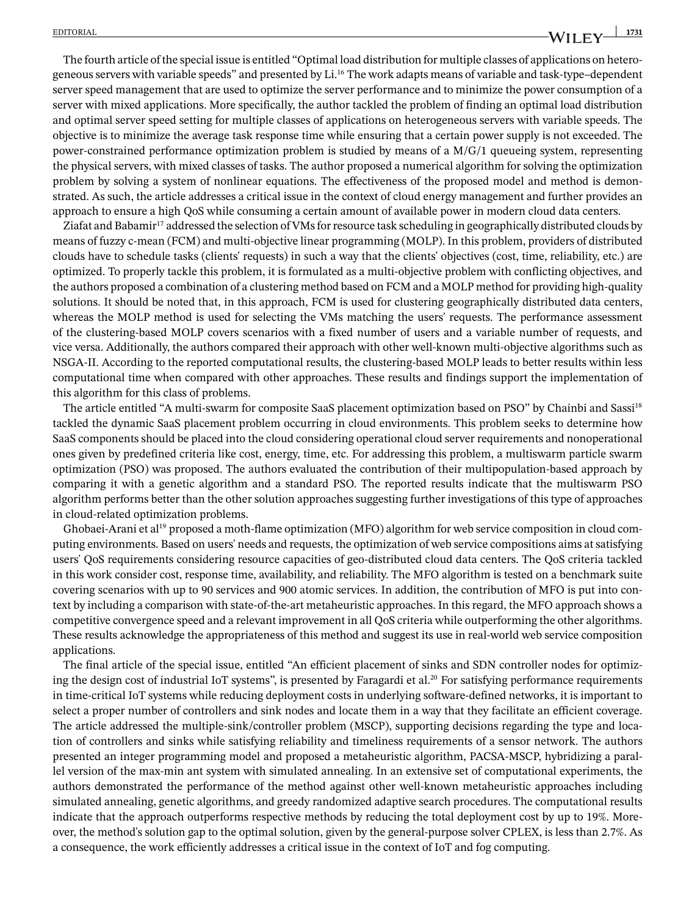The fourth article of the special issue is entitled "Optimal load distribution for multiple classes of applications on heterogeneous servers with variable speeds" and presented by Li[.16](#page-4-0) The work adapts means of variable and task-type–dependent server speed management that are used to optimize the server performance and to minimize the power consumption of a server with mixed applications. More specifically, the author tackled the problem of finding an optimal load distribution and optimal server speed setting for multiple classes of applications on heterogeneous servers with variable speeds. The objective is to minimize the average task response time while ensuring that a certain power supply is not exceeded. The power-constrained performance optimization problem is studied by means of a M/G/1 queueing system, representing the physical servers, with mixed classes of tasks. The author proposed a numerical algorithm for solving the optimization problem by solving a system of nonlinear equations. The effectiveness of the proposed model and method is demonstrated. As such, the article addresses a critical issue in the context of cloud energy management and further provides an approach to ensure a high QoS while consuming a certain amount of available power in modern cloud data centers.

Ziafat and Babamir<sup>17</sup> addressed the selection of VMs for resource task scheduling in geographically distributed clouds by means of fuzzy c-mean (FCM) and multi-objective linear programming (MOLP). In this problem, providers of distributed clouds have to schedule tasks (clients' requests) in such a way that the clients' objectives (cost, time, reliability, etc.) are optimized. To properly tackle this problem, it is formulated as a multi-objective problem with conflicting objectives, and the authors proposed a combination of a clustering method based on FCM and a MOLP method for providing high-quality solutions. It should be noted that, in this approach, FCM is used for clustering geographically distributed data centers, whereas the MOLP method is used for selecting the VMs matching the users' requests. The performance assessment of the clustering-based MOLP covers scenarios with a fixed number of users and a variable number of requests, and vice versa. Additionally, the authors compared their approach with other well-known multi-objective algorithms such as NSGA-II. According to the reported computational results, the clustering-based MOLP leads to better results within less computational time when compared with other approaches. These results and findings support the implementation of this algorithm for this class of problems.

The article entitled "A multi-swarm for composite SaaS placement optimization based on PSO" by Chainbi and Sassi<sup>18</sup> tackled the dynamic SaaS placement problem occurring in cloud environments. This problem seeks to determine how SaaS components should be placed into the cloud considering operational cloud server requirements and nonoperational ones given by predefined criteria like cost, energy, time, etc. For addressing this problem, a multiswarm particle swarm optimization (PSO) was proposed. The authors evaluated the contribution of their multipopulation-based approach by comparing it with a genetic algorithm and a standard PSO. The reported results indicate that the multiswarm PSO algorithm performs better than the other solution approaches suggesting further investigations of this type of approaches in cloud-related optimization problems.

Ghobaei-Arani et al<sup>19</sup> proposed a moth-flame optimization (MFO) algorithm for web service composition in cloud computing environments. Based on users' needs and requests, the optimization of web service compositions aims at satisfying users' QoS requirements considering resource capacities of geo-distributed cloud data centers. The QoS criteria tackled in this work consider cost, response time, availability, and reliability. The MFO algorithm is tested on a benchmark suite covering scenarios with up to 90 services and 900 atomic services. In addition, the contribution of MFO is put into context by including a comparison with state-of-the-art metaheuristic approaches. In this regard, the MFO approach shows a competitive convergence speed and a relevant improvement in all QoS criteria while outperforming the other algorithms. These results acknowledge the appropriateness of this method and suggest its use in real-world web service composition applications.

The final article of the special issue, entitled "An efficient placement of sinks and SDN controller nodes for optimizing the design cost of industrial IoT systems", is presented by Faragardi et al.<sup>20</sup> For satisfying performance requirements in time-critical IoT systems while reducing deployment costs in underlying software-defined networks, it is important to select a proper number of controllers and sink nodes and locate them in a way that they facilitate an efficient coverage. The article addressed the multiple-sink/controller problem (MSCP), supporting decisions regarding the type and location of controllers and sinks while satisfying reliability and timeliness requirements of a sensor network. The authors presented an integer programming model and proposed a metaheuristic algorithm, PACSA-MSCP, hybridizing a parallel version of the max-min ant system with simulated annealing. In an extensive set of computational experiments, the authors demonstrated the performance of the method against other well-known metaheuristic approaches including simulated annealing, genetic algorithms, and greedy randomized adaptive search procedures. The computational results indicate that the approach outperforms respective methods by reducing the total deployment cost by up to 19%. Moreover, the method's solution gap to the optimal solution, given by the general-purpose solver CPLEX, is less than 2.7%. As a consequence, the work efficiently addresses a critical issue in the context of IoT and fog computing.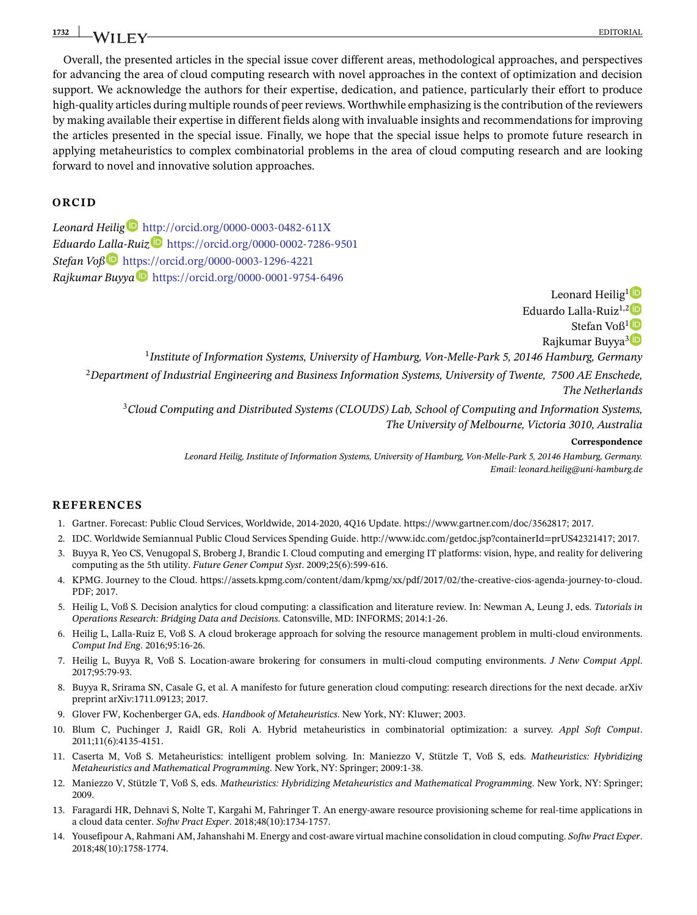## <u>1732 | Jacques Editorial Bourder (b. 1732 | Jacques Editorial Bourder (b. 1732 | Jacques Editorial Bourder (b</u>

Overall, the presented articles in the special issue cover different areas, methodological approaches, and perspectives for advancing the area of cloud computing research with novel approaches in the context of optimization and decision support. We acknowledge the authors for their expertise, dedication, and patience, particularly their effort to produce high-quality articles during multiple rounds of peer reviews. Worthwhile emphasizing is the contribution of the reviewers by making available their expertise in different fields along with invaluable insights and recommendations for improving the articles presented in the special issue. Finally, we hope that the special issue helps to promote future research in applying metaheuristics to complex combinatorial problems in the area of cloud computing research and are looking forward to novel and innovative solution approaches.

#### **ORCID**

*Leonard Heilig* <http://orcid.org/0000-0003-0482-611X> *Eduardo L[alla](https://orcid.org/0000-0003-1296-4221)-Ruiz* <https://orcid.org/0000-0002-7286-9501> *Stefan Voß* <https://orcid.org/0000-0003-1296-4221> *Rajkumar Buyya* <https://orcid.org/0000-0001-9754-6496>

> Leonard Heilig<sup>[1](http://orcid.org/0000-0003-0482-611X)</sup> Eduardo Lalla-Ruiz<sup>1,[2](https://orcid.org/0000-0002-7286-9501)</sup><sup>D</sup> Stefan Voß<sup>[1](https://orcid.org/0000-0003-1296-4221)</sup> Rajkumar Buyya<sup>[3](https://orcid.org/0000-0001-9754-6496)</sup><sup>D</sup> <sup>1</sup>*Institute of Information Systems, University of Hamburg, Von-Melle-Park 5, 20146 Hamburg, Germany* <sup>2</sup>*Department of Industrial Engineering and Business Information Systems, University of Twente, 7500 AE Enschede, The Netherlands*

<sup>3</sup>*Cloud Computing and Distributed Systems (CLOUDS) Lab, School of Computing and Information Systems, The University of Melbourne, Victoria 3010, Australia*

#### **Correspondence**

*Leonard Heilig, Institute of Information Systems, University of Hamburg, Von-Melle-Park 5, 20146 Hamburg, Germany. Email: leonard.heilig@uni-hamburg.de*

#### **REFERENCES**

- <span id="page-3-1"></span><span id="page-3-0"></span>1. Gartner. Forecast: Public Cloud Services, Worldwide, 2014-2020, 4Q16 Update. [https://www.gartner.com/doc/3562817;](https://www.gartner.com/doc/3562817) 2017.
- <span id="page-3-2"></span>2. IDC. Worldwide Semiannual Public Cloud Services Spending Guide. [http://www.idc.com/getdoc.jsp?containerId=prUS42321417;](http://www.idc.com/getdoc.jsp?containerId=prUS42321417) 2017.
- 3. Buyya R, Yeo CS, Venugopal S, Broberg J, Brandic I. Cloud computing and emerging IT platforms: vision, hype, and reality for delivering computing as the 5th utility. *Future Gener Comput Syst*. 2009;25(6):599-616.
- <span id="page-3-3"></span>4. KPMG. Journey to the Cloud. [https://assets.kpmg.com/content/dam/kpmg/xx/pdf/2017/02/the-creative-cios-agenda-journey-to-cloud.](https://assets.kpmg.com/content/dam/kpmg/xx/pdf/2017/02/the-creative-cios-agenda-journey-to-cloud.PDF) [PDF;](https://assets.kpmg.com/content/dam/kpmg/xx/pdf/2017/02/the-creative-cios-agenda-journey-to-cloud.PDF) 2017.
- <span id="page-3-4"></span>5. Heilig L, Voß S. Decision analytics for cloud computing: a classification and literature review. In: Newman A, Leung J, eds. *Tutorials in Operations Research: Bridging Data and Decisions*. Catonsville, MD: INFORMS; 2014:1-26.
- <span id="page-3-5"></span>6. Heilig L, Lalla-Ruiz E, Voß S. A cloud brokerage approach for solving the resource management problem in multi-cloud environments. *Comput Ind Eng*. 2016;95:16-26.
- <span id="page-3-6"></span>7. Heilig L, Buyya R, Voß S. Location-aware brokering for consumers in multi-cloud computing environments. *J Netw Comput Appl*. 2017;95:79-93.
- <span id="page-3-7"></span>8. Buyya R, Srirama SN, Casale G, et al. A manifesto for future generation cloud computing: research directions for the next decade. arXiv preprint arXiv:1711.09123; 2017.
- <span id="page-3-9"></span><span id="page-3-8"></span>9. Glover FW, Kochenberger GA, eds. *Handbook of Metaheuristics*. New York, NY: Kluwer; 2003.
- 10. Blum C, Puchinger J, Raidl GR, Roli A. Hybrid metaheuristics in combinatorial optimization: a survey. *Appl Soft Comput*. 2011;11(6):4135-4151.
- <span id="page-3-10"></span>11. Caserta M, Voß S. Metaheuristics: intelligent problem solving. In: Maniezzo V, Stützle T, Voß S, eds. *Matheuristics: Hybridizing Metaheuristics and Mathematical Programming*. New York, NY: Springer; 2009:1-38.
- <span id="page-3-11"></span>12. Maniezzo V, Stützle T, Voß S, eds. *Matheuristics: Hybridizing Metaheuristics and Mathematical Programming*. New York, NY: Springer; 2009.
- <span id="page-3-12"></span>13. Faragardi HR, Dehnavi S, Nolte T, Kargahi M, Fahringer T. An energy-aware resource provisioning scheme for real-time applications in a cloud data center. *Softw Pract Exper*. 2018;48(10):1734-1757.
- <span id="page-3-14"></span><span id="page-3-13"></span>14. Yousefipour A, Rahmani AM, Jahanshahi M. Energy and cost-aware virtual machine consolidation in cloud computing. *Softw Pract Exper*. 2018;48(10):1758-1774.